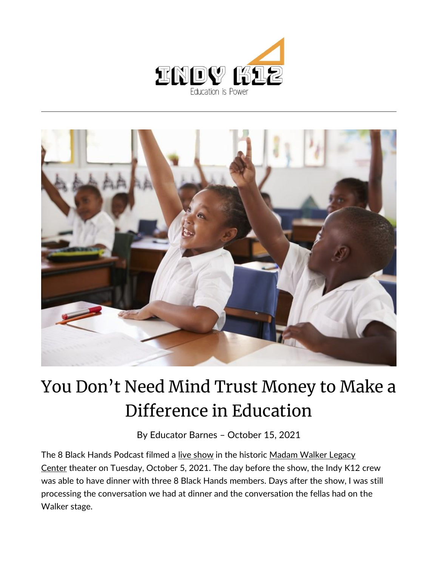



## You Don't Need Mind Trust Money to Make a Difference in Education

By [Educator Barnes](https://indy.education/author/shicole/) – October 15, 2021

The 8 Black Hands Podcast filmed a [live show](https://www.facebook.com/TheMindTrust/videos/1013735979171871) in the historic Madam Walker Legacy [Center](https://madamwalkerlegacycenter.com/) theater on Tuesday, October 5, 2021. The day before the show, the Indy K12 crew was able to have dinner with three 8 Black Hands members. Days after the show, I was still processing the conversation we had at dinner and the conversation the fellas had on the Walker stage.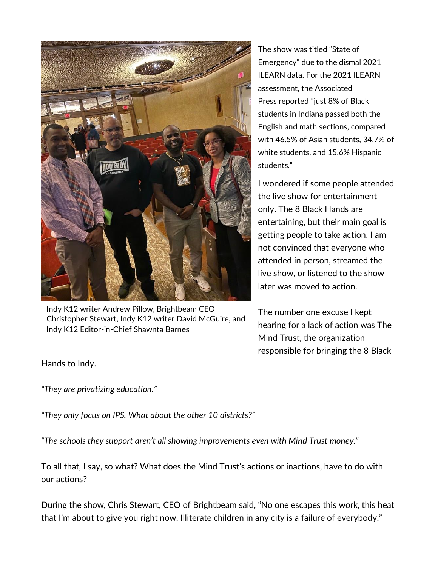

Indy K12 writer Andrew Pillow, Brightbeam CEO Christopher Stewart, Indy K12 writer David McGuire, and Indy K12 Editor-in-Chief Shawnta Barnes

The show was titled "State of Emergency" due to the dismal 2021 ILEARN data. For the 2021 ILEARN assessment, the Associated Press [reported](https://apnews.com/article/science-health-government-and-politics-education-indiana-7669743b8c854bad703231284b6c9c13) "just 8% of Black students in Indiana passed both the English and math sections, compared with 46.5% of Asian students, 34.7% of white students, and 15.6% Hispanic students."

I wondered if some people attended the live show for entertainment only. The 8 Black Hands are entertaining, but their main goal is getting people to take action. I am not convinced that everyone who attended in person, streamed the live show, or listened to the show later was moved to action.

The number one excuse I kept hearing for a lack of action was The Mind Trust, the organization responsible for bringing the 8 Black

Hands to Indy.

*"They are privatizing education."*

*"They only focus on IPS. What about the other 10 districts?"*

*"The schools they support aren't all showing improvements even with Mind Trust money."*

To all that, I say, so what? What does the Mind Trust's actions or inactions, have to do with our actions?

During the show, Chris Stewart, [CEO of Brightbeam](https://brightbeamnetwork.org/) said, "No one escapes this work, this heat that I'm about to give you right now. Illiterate children in any city is a failure of everybody."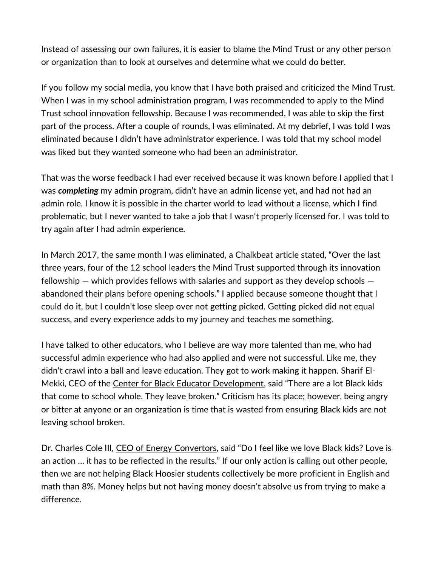Instead of assessing our own failures, it is easier to blame the Mind Trust or any other person or organization than to look at ourselves and determine what we could do better.

If you follow my social media, you know that I have both praised and criticized the Mind Trust. When I was in my school administration program, I was recommended to apply to the Mind Trust school innovation fellowship. Because I was recommended, I was able to skip the first part of the process. After a couple of rounds, I was eliminated. At my debrief, I was told I was eliminated because I didn't have administrator experience. I was told that my school model was liked but they wanted someone who had been an administrator.

That was the worse feedback I had ever received because it was known before I applied that I was *completing* my admin program, didn't have an admin license yet, and had not had an admin role. I know it is possible in the charter world to lead without a license, which I find problematic, but I never wanted to take a job that I wasn't properly licensed for. I was told to try again after I had admin experience.

In March 2017, the same month I was eliminated, a Chalkbeat [article](https://in.chalkbeat.org/2017/3/21/21099685/after-some-unusual-innovation-school-ideas-fell-through-the-mind-trust-is-focusing-on-replicating-su) stated, "Over the last three years, four of the 12 school leaders the Mind Trust supported through its innovation fellowship  $-$  which provides fellows with salaries and support as they develop schools  $$ abandoned their plans before opening schools." I applied because someone thought that I could do it, but I couldn't lose sleep over not getting picked. Getting picked did not equal success, and every experience adds to my journey and teaches me something.

I have talked to other educators, who I believe are way more talented than me, who had successful admin experience who had also applied and were not successful. Like me, they didn't crawl into a ball and leave education. They got to work making it happen. Sharif El-Mekki, CEO of the [Center for Black Educator Development](https://www.thecenterblacked.org/), said "There are a lot Black kids that come to school whole. They leave broken." Criticism has its place; however, being angry or bitter at anyone or an organization is time that is wasted from ensuring Black kids are not leaving school broken.

Dr. Charles Cole III, [CEO of Energy](http://www.energyconvertors.org/) Convertors, said "Do I feel like we love Black kids? Love is an action … it has to be reflected in the results." If our only action is calling out other people, then we are not helping Black Hoosier students collectively be more proficient in English and math than 8%. Money helps but not having money doesn't absolve us from trying to make a difference.